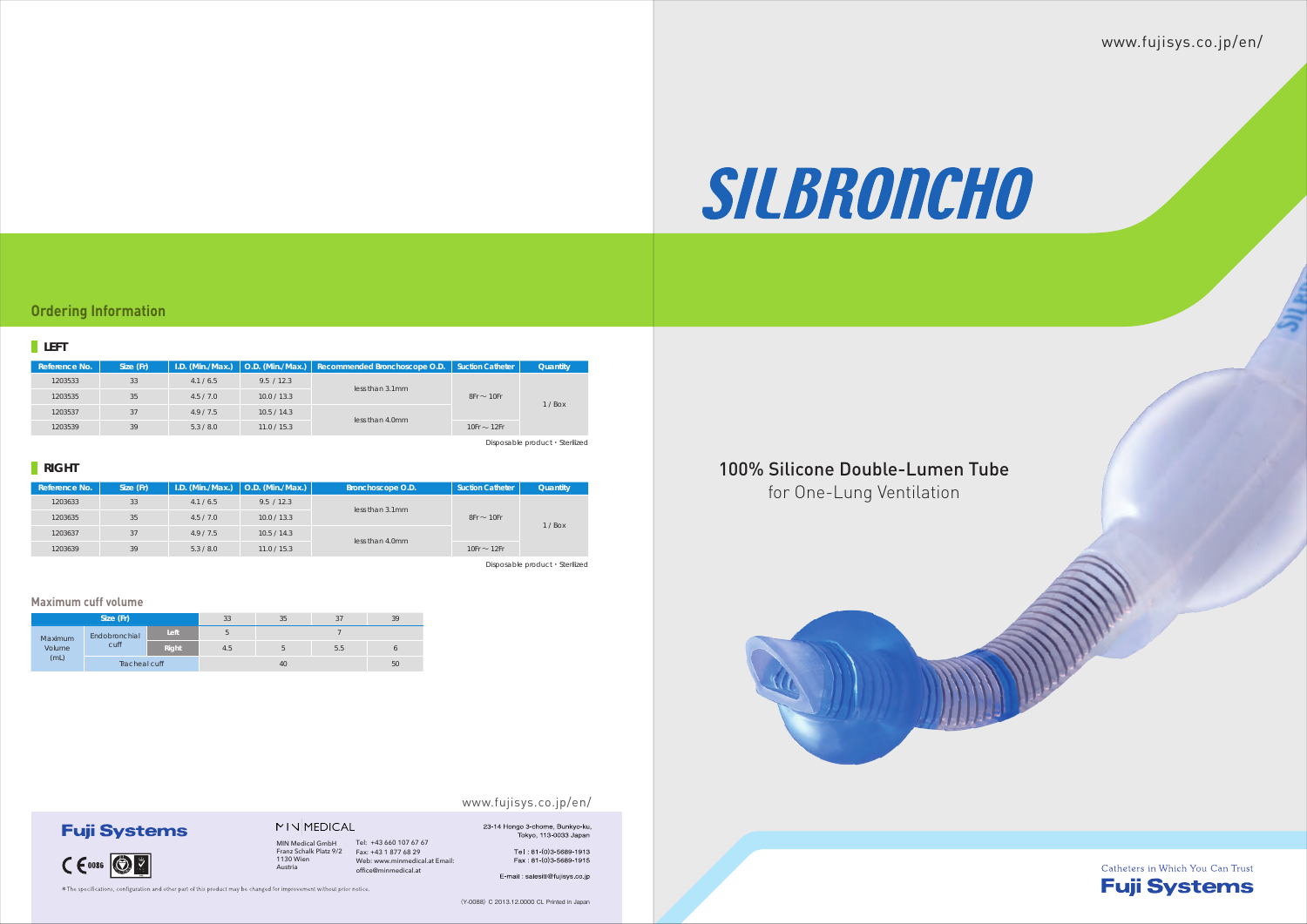〈Y-0088〉 C 2013.12.0000 CL Printed in Japan

#### www.fujisys.co.jp/en/

# 23-14 Hongo 3-chome, Bunkyo-ku,<br>Tokyo, 113-0033 Japan

## www.fujisys.co.jp/en/



### **LEFT**

| Reference No. | Size (Fr) | $I.D.$ (Min./Max.) |             | $\vert$ O.D. (Min./Max.) $\vert$ Recommended Bronchoscope O.D. | <b>Suction Catheter</b> | Quantity |
|---------------|-----------|--------------------|-------------|----------------------------------------------------------------|-------------------------|----------|
| 1203533       | 33        | 4.1 / 6.5          | 9.5 / 12.3  |                                                                | $8Fr \sim 10Fr$         | $1/$ Box |
| 1203535       | 35        | 4.5/7.0            | 10.0 / 13.3 | less than 3.1mm                                                |                         |          |
| 1203537       | 37        | 4.9/7.5            | 10.5 / 14.3 |                                                                |                         |          |
| 1203539       | 39        | 5.3 / 8.0          | 11.0 / 15.3 | less than 4.0mm                                                | 10Fr $\sim$ 12Fr        |          |
|               |           |                    |             |                                                                |                         |          |

| Reference No. | Size (Fr) | I.D. (Min./Max.) | $\vert$ O.D. (Min./Max.) | Bronchoscope O.D. | <b>Suction Catheter</b> | Quantity |
|---------------|-----------|------------------|--------------------------|-------------------|-------------------------|----------|
| 1203633       | 33        | 4.1 / 6.5        | 9.5 / 12.3               | less than 3.1mm   | $8Fr \sim 10Fr$         | $1/$ Box |
| 1203635       | 35        | 4.5 / 7.0        | 10.0 / 13.3              |                   |                         |          |
| 1203637       | 37        | 4.9/7.5          | 10.5 / 14.3              |                   |                         |          |
| 1203639       | 39        | 5.3 / 8.0        | 11.0 / 15.3              | less than 4.0mm   | 10Fr $\sim$ 12Fr        |          |

| Size (Fr)                 |               |       | 33  | 35 | 37  | 39 |
|---------------------------|---------------|-------|-----|----|-----|----|
| Maximum<br>Volume<br>(mL) | Endobronchial | Left  | h   |    |     |    |
|                           | cuff          | Right | 4.5 |    | 5.5 |    |
|                           | Tracheal cuff |       | 40  |    |     | 50 |

#### **Maximum cuff volume**

**Fuji Systems** 

 $CC$   $CO$   $CO$ 

Disposable product・ Sterilized

### **RIGHT**

Disposable product・ Sterilized

### **Ordering Information**



# for One-Lung Ventilation

Tel: +43 660 107 67 67 Fax: +43 1 877 68 29 Web: www.minmedical.at Email: office@minmedical.at

Tel: 81-(0)3-5689-1913 Fax: 81-(0)3-5689-1915

E-mail : salesitl@fujisys.co.jp

 $*$  The specifications, configuration and other part of this product may be changed for improvement without prior notice.

MIN Medical GmbH Franz Schalk Platz 9/2 1130 Wien

MINMEDICAL

Austria